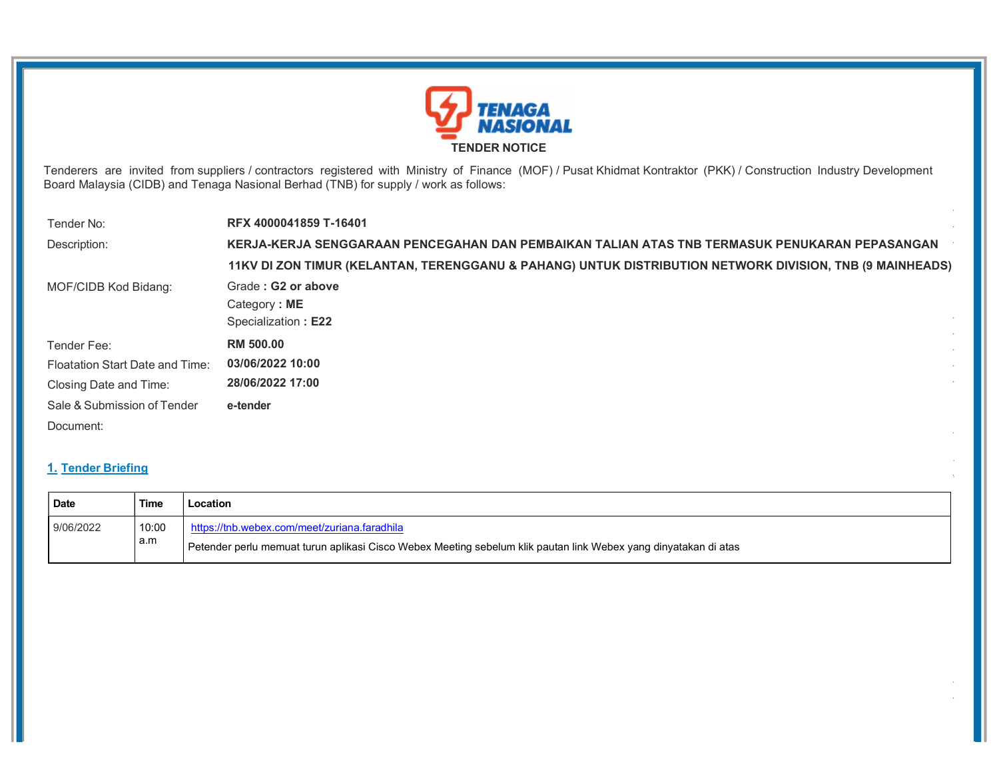

Tenderers are invited from suppliers / contractors registered with Ministry of Finance (MOF) / Pusat Khidmat Kontraktor (PKK) / Construction Industry Development Board Malaysia (CIDB) and Tenaga Nasional Berhad (TNB) for supply / work as follows:

| Tender No:                      | RFX 4000041859 T-16401                                                                                   |
|---------------------------------|----------------------------------------------------------------------------------------------------------|
| Description:                    | KERJA-KERJA SENGGARAAN PENCEGAHAN DAN PEMBAIKAN TALIAN ATAS TNB TERMASUK PENUKARAN PEPASANGAN            |
|                                 | 11KV DI ZON TIMUR (KELANTAN, TERENGGANU & PAHANG) UNTUK DISTRIBUTION NETWORK DIVISION, TNB (9 MAINHEADS) |
| MOF/CIDB Kod Bidang:            | Grade: G2 or above                                                                                       |
|                                 | Category: ME                                                                                             |
|                                 | Specialization: E22                                                                                      |
| Tender Fee:                     | <b>RM 500.00</b>                                                                                         |
| Floatation Start Date and Time: | 03/06/2022 10:00                                                                                         |
| Closing Date and Time:          | 28/06/2022 17:00                                                                                         |
| Sale & Submission of Tender     | e-tender                                                                                                 |
| Document:                       |                                                                                                          |
|                                 |                                                                                                          |

# 1. Tender Briefing

| Date      | Time         | Location                                                                                                                                                        |
|-----------|--------------|-----------------------------------------------------------------------------------------------------------------------------------------------------------------|
| 9/06/2022 | 10:00<br>a.m | https://tnb.webex.com/meet/zuriana.faradhila<br>Petender perlu memuat turun aplikasi Cisco Webex Meeting sebelum klik pautan link Webex yang dinyatakan di atas |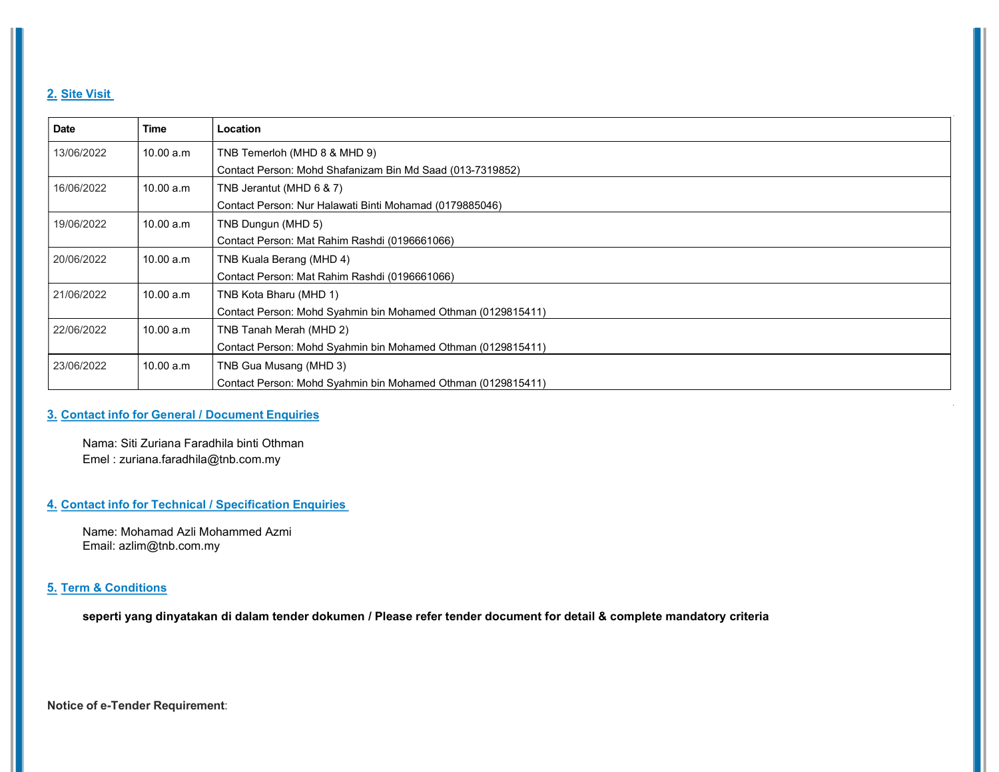## 2. Site Visit

| <b>Date</b> | <b>Time</b> | Location                                                     |
|-------------|-------------|--------------------------------------------------------------|
| 13/06/2022  | 10.00 a.m   | TNB Temerloh (MHD 8 & MHD 9)                                 |
|             |             | Contact Person: Mohd Shafanizam Bin Md Saad (013-7319852)    |
| 16/06/2022  | 10.00 a.m   | TNB Jerantut (MHD 6 & 7)                                     |
|             |             | Contact Person: Nur Halawati Binti Mohamad (0179885046)      |
| 19/06/2022  | 10.00 a.m   | TNB Dungun (MHD 5)                                           |
|             |             | Contact Person: Mat Rahim Rashdi (0196661066)                |
| 20/06/2022  | 10.00 a.m   | TNB Kuala Berang (MHD 4)                                     |
|             |             | Contact Person: Mat Rahim Rashdi (0196661066)                |
| 21/06/2022  | 10.00 a.m   | TNB Kota Bharu (MHD 1)                                       |
|             |             | Contact Person: Mohd Syahmin bin Mohamed Othman (0129815411) |
| 22/06/2022  | 10.00 a.m   | TNB Tanah Merah (MHD 2)                                      |
|             |             | Contact Person: Mohd Syahmin bin Mohamed Othman (0129815411) |
| 23/06/2022  | 10.00 a.m   | TNB Gua Musang (MHD 3)                                       |
|             |             | Contact Person: Mohd Syahmin bin Mohamed Othman (0129815411) |

### 3. Contact info for General / Document Enquiries

Nama: Siti Zuriana Faradhila binti Othman Emel : zuriana.faradhila@tnb.com.my

### 4. Contact info for Technical / Specification Enquiries

Name: Mohamad Azli Mohammed Azmi Email: azlim@tnb.com.my

### 5. Term & Conditions

seperti yang dinyatakan di dalam tender dokumen / Please refer tender document for detail & complete mandatory criteria

Notice of e-Tender Requirement: